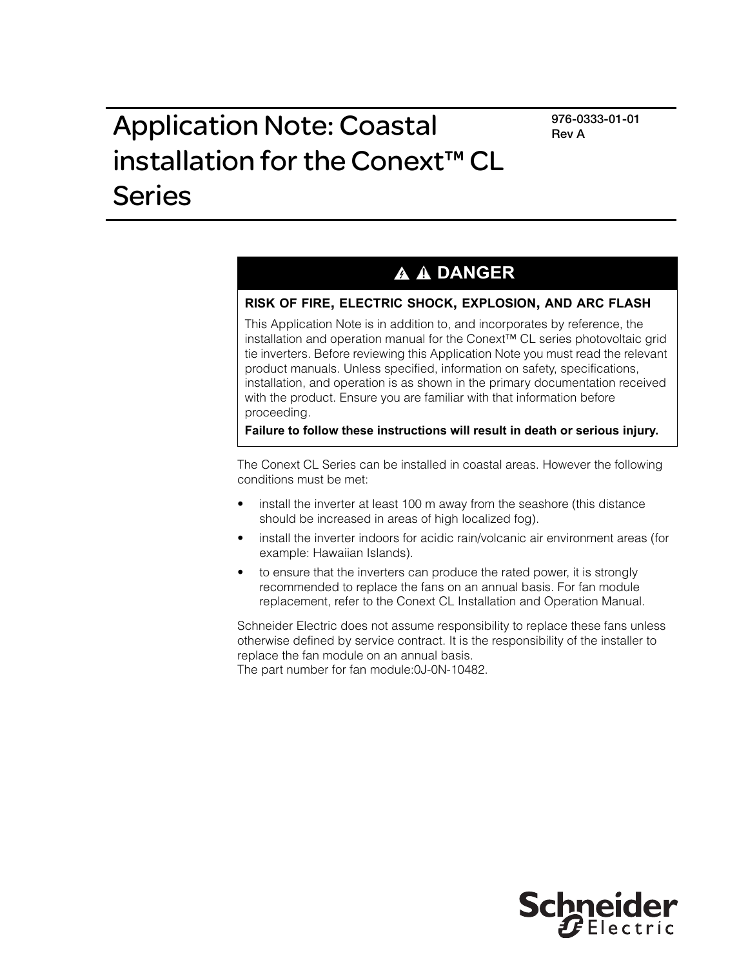**976-0333-01-01 Rev A**

# Application Note: Coastal installation for the Conext™ CL Series

## **A A DANGER**

### **RISK OF FIRE, ELECTRIC SHOCK, EXPLOSION, AND ARC FLASH**

This Application Note is in addition to, and incorporates by reference, the installation and operation manual for the Conext™ CL series photovoltaic grid tie inverters. Before reviewing this Application Note you must read the relevant product manuals. Unless specified, information on safety, specifications, installation, and operation is as shown in the primary documentation received with the product. Ensure you are familiar with that information before proceeding.

**Failure to follow these instructions will result in death or serious injury.**

The Conext CL Series can be installed in coastal areas. However the following conditions must be met:

- install the inverter at least 100 m away from the seashore (this distance should be increased in areas of high localized fog).
- install the inverter indoors for acidic rain/volcanic air environment areas (for example: Hawaiian Islands).
- to ensure that the inverters can produce the rated power, it is strongly recommended to replace the fans on an annual basis. For fan module replacement, refer to the Conext CL Installation and Operation Manual.

Schneider Electric does not assume responsibility to replace these fans unless otherwise defined by service contract. It is the responsibility of the installer to replace the fan module on an annual basis.

The part number for fan module:0J-0N-10482.